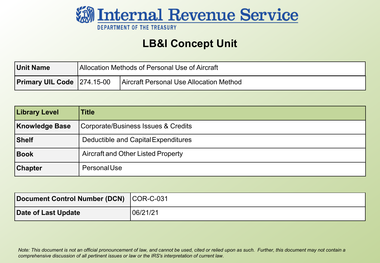

#### **LB&I Concept Unit**

| Unit Name                         | Allocation Methods of Personal Use of Aircraft |                                         |  |
|-----------------------------------|------------------------------------------------|-----------------------------------------|--|
| <b>Primary UIL Code 274.15-00</b> |                                                | Aircraft Personal Use Allocation Method |  |

| <b>Library Level</b>  | Title                                     |  |  |  |
|-----------------------|-------------------------------------------|--|--|--|
| <b>Knowledge Base</b> | Corporate/Business Issues & Credits       |  |  |  |
| Shelf                 | Deductible and Capital Expenditures       |  |  |  |
| Book                  | <b>Aircraft and Other Listed Property</b> |  |  |  |
| <b>Chapter</b>        | PersonalUse                               |  |  |  |

| Document Control Number (DCN) COR-C-031 |           |
|-----------------------------------------|-----------|
| Date of Last Update                     | '06/21/21 |

*Note: This document is not an official pronouncement of law, and cannot be used, cited or relied upon as such. Further, this document may not contain a comprehensive discussion of all pertinent issues or law or the IRS's interpretation of current law.*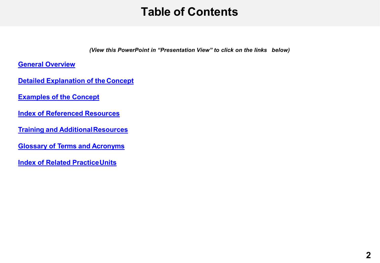#### **Table of Contents**

*(View this PowerPoint in "Presentation View" to click on the links below)*

<span id="page-1-0"></span>**[General Overview](#page-2-0)** 

**[Detailed Explanation of the](#page-4-0) Concept**

**[Examples of the Concept](#page-10-0)** 

**[Index of Referenced Resources](#page-22-0)** 

**[Training and AdditionalResources](#page-23-0)** 

**[Glossary of Terms and Acronyms](#page-24-0)** 

**[Index of Related PracticeUnits](#page-25-0)**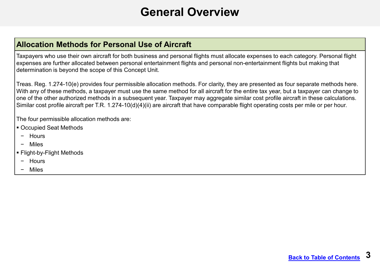#### **General Overview**

#### <span id="page-2-0"></span>**Allocation Methods for Personal Use of Aircraft**

Taxpayers who use their own aircraft for both business and personal flights must allocate expenses to each category. Personal flight expenses are further allocated between personal entertainment flights and personal non-entertainment flights but making that determination is beyond the scope of this Concept Unit.

Treas. Reg. 1.274-10(e) provides four permissible allocation methods. For clarity, they are presented as four separate methods here. With any of these methods, a taxpayer must use the same method for all aircraft for the entire tax year, but a taxpayer can change to one of the other authorized methods in a subsequent year. Taxpayer may aggregate similar cost profile aircraft in these calculations. Similar cost profile aircraft per T.R. 1.274-10(d)(4)(ii) are aircraft that have comparable flight operating costs per mile or per hour.

The four permissible allocation methods are:

- Occupied Seat Methods
- − Hours
- − Miles
- Flight-by-Flight Methods
- − Hours
- − Miles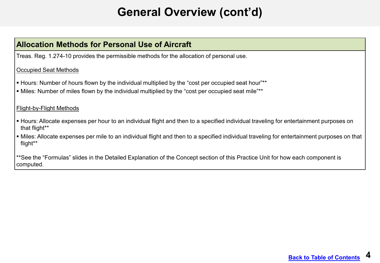# **General Overview (cont'd)**

#### **Allocation Methods for Personal Use of Aircraft**

Treas. Reg. 1.274-10 provides the permissible methods for the allocation of personal use.

#### Occupied Seat Methods

- Hours: Number of hours flown by the individual multiplied by the "cost per occupied seat hour"\*\*
- Miles: Number of miles flown by the individual multiplied by the "cost per occupied seat mile"\*\*

#### Flight-by-Flight Methods

- Hours: Allocate expenses per hour to an individual flight and then to a specified individual traveling for entertainment purposes on that flight\*\*
- Miles: Allocate expenses per mile to an individual flight and then to a specified individual traveling for entertainment purposes on that flight\*\*

\*\*See the "Formulas" slides in the Detailed Explanation of the Concept section of this Practice Unit for how each component is computed.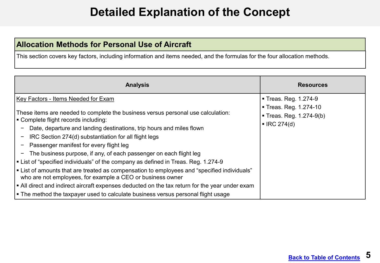#### **Detailed Explanation of the Concept**

#### <span id="page-4-0"></span>**Allocation Methods for Personal Use of Aircraft**

This section covers key factors, including information and items needed, and the formulas for the four allocation methods.

| <b>Analysis</b>                                                                                                                                                                                                                                                                                                                                                                                                                                                                                                                                                                                                                                                                                                                                                              | <b>Resources</b>                                                                                       |
|------------------------------------------------------------------------------------------------------------------------------------------------------------------------------------------------------------------------------------------------------------------------------------------------------------------------------------------------------------------------------------------------------------------------------------------------------------------------------------------------------------------------------------------------------------------------------------------------------------------------------------------------------------------------------------------------------------------------------------------------------------------------------|--------------------------------------------------------------------------------------------------------|
| Key Factors - Items Needed for Exam<br>These items are needed to complete the business versus personal use calculation:<br>Complete flight records including:<br>Date, departure and landing destinations, trip hours and miles flown<br>IRC Section 274(d) substantiation for all flight legs<br>Passenger manifest for every flight leg<br>The business purpose, if any, of each passenger on each flight leg<br>List of "specified individuals" of the company as defined in Treas. Reg. 1.274-9<br>I ■ List of amounts that are treated as compensation to employees and "specified individuals"<br>who are not employees, for example a CEO or business owner<br>$\vert$ = All direct and indirect aircraft expenses deducted on the tax return for the year under exam | ■ Treas. Reg. 1.274-9<br>Treas. Reg. 1.274-10<br>■ Treas. Reg. 1.274-9(b)<br>$\blacksquare$ IRC 274(d) |
| The method the taxpayer used to calculate business versus personal flight usage                                                                                                                                                                                                                                                                                                                                                                                                                                                                                                                                                                                                                                                                                              |                                                                                                        |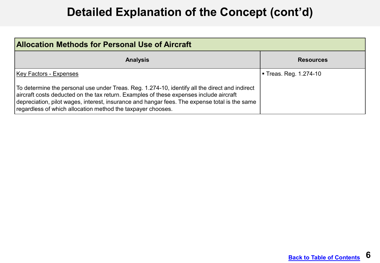| <b>Allocation Methods for Personal Use of Aircraft</b>                                                                                                                                                                                                                                                                                                   |                      |  |  |  |
|----------------------------------------------------------------------------------------------------------------------------------------------------------------------------------------------------------------------------------------------------------------------------------------------------------------------------------------------------------|----------------------|--|--|--|
| <b>Analysis</b>                                                                                                                                                                                                                                                                                                                                          | <b>Resources</b>     |  |  |  |
| Key Factors - Expenses                                                                                                                                                                                                                                                                                                                                   | Freas. Reg. 1.274-10 |  |  |  |
| To determine the personal use under Treas. Reg. 1.274-10, identify all the direct and indirect<br>aircraft costs deducted on the tax return. Examples of these expenses include aircraft<br>depreciation, pilot wages, interest, insurance and hangar fees. The expense total is the same<br>regardless of which allocation method the taxpayer chooses. |                      |  |  |  |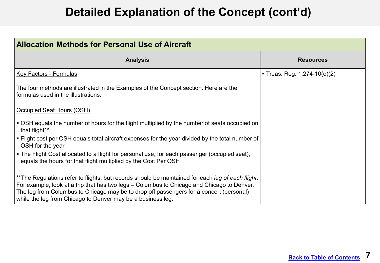| <b>Allocation Methods for Personal Use of Aircraft</b>                                                                                                                                                                                                                                                                                                    |                                  |  |  |  |  |
|-----------------------------------------------------------------------------------------------------------------------------------------------------------------------------------------------------------------------------------------------------------------------------------------------------------------------------------------------------------|----------------------------------|--|--|--|--|
| <b>Analysis</b>                                                                                                                                                                                                                                                                                                                                           | <b>Resources</b>                 |  |  |  |  |
| <u> Key Factors - Formulas</u>                                                                                                                                                                                                                                                                                                                            | ■ Treas. Reg. $1.274 - 10(e)(2)$ |  |  |  |  |
| The four methods are illustrated in the Examples of the Concept section. Here are the<br>formulas used in the illustrations.                                                                                                                                                                                                                              |                                  |  |  |  |  |
| Occupied Seat Hours (OSH)                                                                                                                                                                                                                                                                                                                                 |                                  |  |  |  |  |
| $\vert$ $\bullet$ OSH equals the number of hours for the flight multiplied by the number of seats occupied on<br>that flight**                                                                                                                                                                                                                            |                                  |  |  |  |  |
| I ■ Flight cost per OSH equals total aircraft expenses for the year divided by the total number of<br>OSH for the year                                                                                                                                                                                                                                    |                                  |  |  |  |  |
| Figure Flight Cost allocated to a flight for personal use, for each passenger (occupied seat),<br>equals the hours for that flight multiplied by the Cost Per OSH                                                                                                                                                                                         |                                  |  |  |  |  |
| **The Regulations refer to flights, but records should be maintained for each leg of each flight.<br>For example, look at a trip that has two legs – Columbus to Chicago and Chicago to Denver.<br>The leg from Columbus to Chicago may be to drop off passengers for a concert (personal)<br>while the leg from Chicago to Denver may be a business leg. |                                  |  |  |  |  |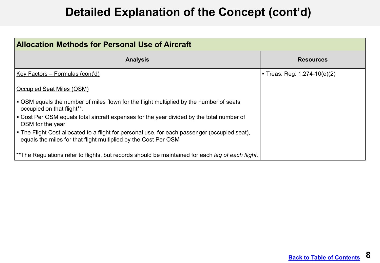| <b>Allocation Methods for Personal Use of Aircraft</b>                                                                                                             |                              |  |  |  |  |
|--------------------------------------------------------------------------------------------------------------------------------------------------------------------|------------------------------|--|--|--|--|
| <b>Analysis</b>                                                                                                                                                    | <b>Resources</b>             |  |  |  |  |
| Key Factors – Formulas (cont'd)                                                                                                                                    | Treas. Reg. $1.274-10(e)(2)$ |  |  |  |  |
| Occupied Seat Miles (OSM)                                                                                                                                          |                              |  |  |  |  |
| ■ OSM equals the number of miles flown for the flight multiplied by the number of seats<br>occupied on that flight**.                                              |                              |  |  |  |  |
| I ■ Cost Per OSM equals total aircraft expenses for the year divided by the total number of<br>OSM for the year                                                    |                              |  |  |  |  |
| I ■ The Flight Cost allocated to a flight for personal use, for each passenger (occupied seat),<br>equals the miles for that flight multiplied by the Cost Per OSM |                              |  |  |  |  |
| **The Regulations refer to flights, but records should be maintained for each leg of each flight.                                                                  |                              |  |  |  |  |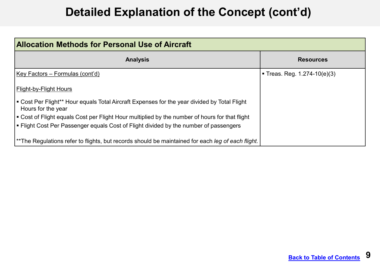| <b>Allocation Methods for Personal Use of Aircraft</b>                                                             |                                  |  |  |  |  |
|--------------------------------------------------------------------------------------------------------------------|----------------------------------|--|--|--|--|
| <b>Analysis</b>                                                                                                    | <b>Resources</b>                 |  |  |  |  |
| Key Factors – Formulas (cont'd)                                                                                    | ■ Treas. Reg. $1.274 - 10(e)(3)$ |  |  |  |  |
| Flight-by-Flight Hours                                                                                             |                                  |  |  |  |  |
| • Cost Per Flight** Hour equals Total Aircraft Expenses for the year divided by Total Flight<br>Hours for the year |                                  |  |  |  |  |
| Lost of Flight equals Cost per Flight Hour multiplied by the number of hours for that flight ■ Cost                |                                  |  |  |  |  |
| Flight Cost Per Passenger equals Cost of Flight divided by the number of passengers                                |                                  |  |  |  |  |
| **The Regulations refer to flights, but records should be maintained for each leg of each flight.                  |                                  |  |  |  |  |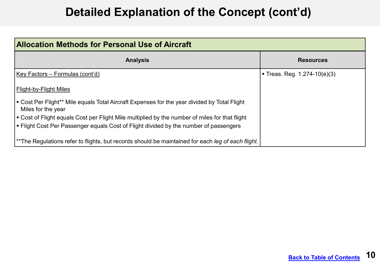| <b>Allocation Methods for Personal Use of Aircraft</b>                                                             |                                |  |  |  |  |
|--------------------------------------------------------------------------------------------------------------------|--------------------------------|--|--|--|--|
| <b>Analysis</b>                                                                                                    | <b>Resources</b>               |  |  |  |  |
| Key Factors – Formulas (cont'd)                                                                                    | Treas. Reg. $1.274 - 10(e)(3)$ |  |  |  |  |
| <b>Flight-by-Flight Miles</b>                                                                                      |                                |  |  |  |  |
| • Cost Per Flight** Mile equals Total Aircraft Expenses for the year divided by Total Flight<br>Miles for the year |                                |  |  |  |  |
| • Cost of Flight equals Cost per Flight Mile multiplied by the number of miles for that flight                     |                                |  |  |  |  |
| • Flight Cost Per Passenger equals Cost of Flight divided by the number of passengers                              |                                |  |  |  |  |
| **The Regulations refer to flights, but records should be maintained for each leg of each flight.                  |                                |  |  |  |  |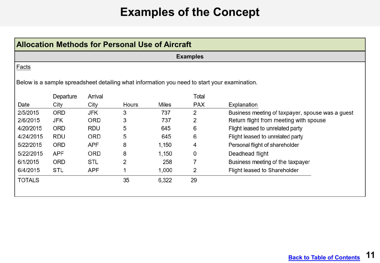## **Examples of the Concept**

<span id="page-10-0"></span>

| <b>Allocation Methods for Personal Use of Aircraft</b> |            |            |       |       |                 |                                                                                              |
|--------------------------------------------------------|------------|------------|-------|-------|-----------------|----------------------------------------------------------------------------------------------|
|                                                        |            |            |       |       | <b>Examples</b> |                                                                                              |
| <b>Facts</b>                                           |            |            |       |       |                 |                                                                                              |
|                                                        |            |            |       |       |                 | Below is a sample spreadsheet detailing what information you need to start your examination. |
|                                                        | Departure  | Arrival    |       |       | Total           |                                                                                              |
| Date                                                   | City       | City       | Hours | Miles | <b>PAX</b>      | Explanation                                                                                  |
| 2/5/2015                                               | <b>ORD</b> | JFK        | 3     | 737   | 2               | Business meeting of taxpayer, spouse was a guest                                             |
| 2/6/2015                                               | JFK        | <b>ORD</b> | 3     | 737   | 2               | Return flight from meeting with spouse                                                       |
| 4/20/2015                                              | <b>ORD</b> | RDU        | 5     | 645   | 6               | Flight leased to unrelated party                                                             |
| 4/24/2015                                              | RDU        | <b>ORD</b> | 5     | 645   | 6               | Flight leased to unrelated party                                                             |
| 5/22/2015                                              | <b>ORD</b> | APF        | 8     | 1,150 | 4               | Personal flight of shareholder                                                               |
| 5/22/2015                                              | <b>APF</b> | <b>ORD</b> | 8     | 1,150 | 0               | Deadhead flight                                                                              |
| 6/1/2015                                               | <b>ORD</b> | <b>STL</b> | 2     | 258   | 7               | Business meeting of the taxpayer                                                             |
| 6/4/2015                                               | STL        | APF        |       | 1,000 | 2               | Flight leased to Shareholder                                                                 |
|                                                        |            |            | 35    | 6,322 | 29              |                                                                                              |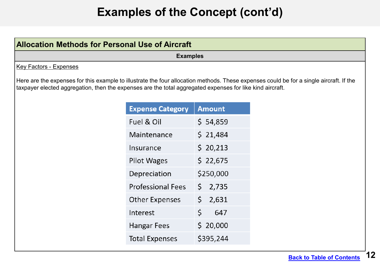| <b>Allocation Methods for Personal Use of Aircraft</b>                                                                                                                                                                                               |                          |               |  |  |  |  |
|------------------------------------------------------------------------------------------------------------------------------------------------------------------------------------------------------------------------------------------------------|--------------------------|---------------|--|--|--|--|
| <b>Examples</b>                                                                                                                                                                                                                                      |                          |               |  |  |  |  |
| <b>Key Factors - Expenses</b>                                                                                                                                                                                                                        |                          |               |  |  |  |  |
| Here are the expenses for this example to illustrate the four allocation methods. These expenses could be for a single aircraft. If the<br>taxpayer elected aggregation, then the expenses are the total aggregated expenses for like kind aircraft. |                          |               |  |  |  |  |
|                                                                                                                                                                                                                                                      | <b>Expense Category</b>  | <b>Amount</b> |  |  |  |  |
|                                                                                                                                                                                                                                                      | Fuel & Oil               | \$54,859      |  |  |  |  |
|                                                                                                                                                                                                                                                      | Maintenance              | \$21,484      |  |  |  |  |
|                                                                                                                                                                                                                                                      | Insurance                | \$20,213      |  |  |  |  |
|                                                                                                                                                                                                                                                      | <b>Pilot Wages</b>       | \$22,675      |  |  |  |  |
|                                                                                                                                                                                                                                                      | Depreciation             | \$250,000     |  |  |  |  |
|                                                                                                                                                                                                                                                      | <b>Professional Fees</b> | \$2,735       |  |  |  |  |
|                                                                                                                                                                                                                                                      | <b>Other Expenses</b>    | \$2,631       |  |  |  |  |
|                                                                                                                                                                                                                                                      | Interest                 | \$.<br>647    |  |  |  |  |
|                                                                                                                                                                                                                                                      | Hangar Fees              | \$20,000      |  |  |  |  |
|                                                                                                                                                                                                                                                      | Total Expenses           | \$395,244     |  |  |  |  |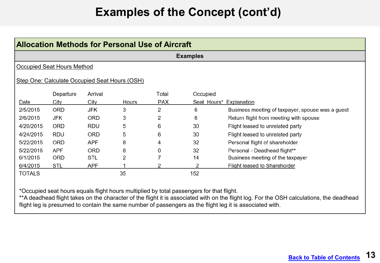| Allocation Methods for Personal Use of Aircraft |                                   |            |       |            |          |                                                  |  |  |
|-------------------------------------------------|-----------------------------------|------------|-------|------------|----------|--------------------------------------------------|--|--|
| <b>Examples</b>                                 |                                   |            |       |            |          |                                                  |  |  |
|                                                 | <b>Occupied Seat Hours Method</b> |            |       |            |          |                                                  |  |  |
| Step One: Calculate Occupied Seat Hours (OSH)   |                                   |            |       |            |          |                                                  |  |  |
|                                                 | Departure                         | Arrival    |       | Total      | Occupied |                                                  |  |  |
| Date                                            | City                              | City       | Hours | <b>PAX</b> |          | Seat Hours* Explanation                          |  |  |
| 2/5/2015                                        | ORD                               | JFK        | 3     | 2          | 6        | Business meeting of taxpayer, spouse was a guest |  |  |
| 2/6/2015                                        | JFK                               | <b>ORD</b> | 3     | 2          | 6        | Return flight from meeting with spouse           |  |  |
| 4/20/2015                                       | <b>ORD</b>                        | <b>RDU</b> | 5     | 6          | 30       | Flight leased to unrelated party                 |  |  |
| 4/24/2015                                       | <b>RDU</b>                        | <b>ORD</b> | 5     | 6          | 30       | Flight leased to unrelated party                 |  |  |
| 5/22/2015                                       | <b>ORD</b>                        | <b>APF</b> | 8     | 4          | 32       | Personal flight of shareholder                   |  |  |
| 5/22/2015                                       | <b>APF</b>                        | <b>ORD</b> | 8     | 0          | 32       | Personal - Deadhead flight**                     |  |  |
| 6/1/2015                                        | <b>ORD</b>                        | STL        | 2     |            | 14       | Business meeting of the taxpayer                 |  |  |
| 6/4/2015                                        | STL                               | APF        |       |            | 2        | Flight leased to Shareholder                     |  |  |
| <b>TOTALS</b>                                   |                                   |            | 35    |            | 152      |                                                  |  |  |

\*Occupied seat hours equals flight hours multiplied by total passengers for that flight.

\*\*A deadhead flight takes on the character of the flight it is associated with on the flight log. For the OSH calculations, the deadhead flight leg is presumed to contain the same number of passengers as the flight leg it is associated with.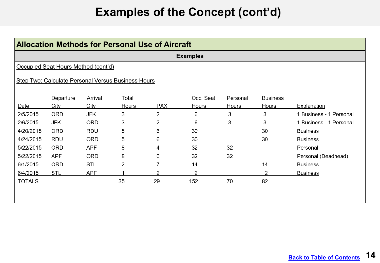|                                                    | <b>Allocation Methods for Personal Use of Aircraft</b> |            |       |            |              |              |                 |                         |  |  |
|----------------------------------------------------|--------------------------------------------------------|------------|-------|------------|--------------|--------------|-----------------|-------------------------|--|--|
|                                                    | <b>Examples</b>                                        |            |       |            |              |              |                 |                         |  |  |
|                                                    | Occupied Seat Hours Method (cont'd)                    |            |       |            |              |              |                 |                         |  |  |
| Step Two: Calculate Personal Versus Business Hours |                                                        |            |       |            |              |              |                 |                         |  |  |
|                                                    | Departure                                              | Arrival    | Total |            | Occ. Seat    | Personal     | <b>Business</b> |                         |  |  |
| Date                                               | City                                                   | City       | Hours | <b>PAX</b> | <b>Hours</b> | <b>Hours</b> | Hours           | Explanation             |  |  |
| 2/5/2015                                           | ORD                                                    | JFK        | 3     | 2          | 6            | 3            | 3               | 1 Business - 1 Personal |  |  |
| 2/6/2015                                           | JFK                                                    | <b>ORD</b> | 3     | 2          | 6            | 3            | 3               | 1 Business - 1 Personal |  |  |
| 4/20/2015                                          | ORD                                                    | <b>RDU</b> | 5     | 6          | 30           |              | 30              | <b>Business</b>         |  |  |
| 4/24/2015                                          | <b>RDU</b>                                             | ORD        | 5     | 6          | 30           |              | 30              | <b>Business</b>         |  |  |
| 5/22/2015                                          | <b>ORD</b>                                             | <b>APF</b> | 8     | 4          | 32           | 32           |                 | Personal                |  |  |
| 5/22/2015                                          | <b>APF</b>                                             | <b>ORD</b> | 8     | 0          | 32           | 32           |                 | Personal (Deadhead)     |  |  |
| 6/1/2015                                           | <b>ORD</b>                                             | <b>STL</b> | 2     | 7          | 14           |              | 14              | <b>Business</b>         |  |  |
| 6/4/2015                                           | <b>STL</b>                                             | <b>APF</b> |       | 2          | 2            |              | 2               | <b>Business</b>         |  |  |
| <b>TOTALS</b>                                      |                                                        |            | 35    | 29         | 152          | 70           | 82              |                         |  |  |
|                                                    |                                                        |            |       |            |              |              |                 |                         |  |  |
|                                                    |                                                        |            |       |            |              |              |                 |                         |  |  |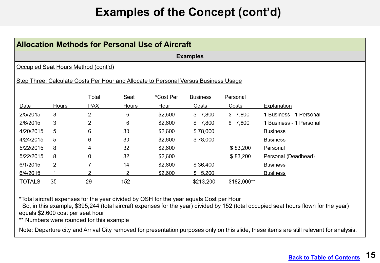|                                                                                     | <b>Allocation Methods for Personal Use of Aircraft</b> |            |       |           |                 |             |                         |  |  |  |  |
|-------------------------------------------------------------------------------------|--------------------------------------------------------|------------|-------|-----------|-----------------|-------------|-------------------------|--|--|--|--|
|                                                                                     | <b>Examples</b>                                        |            |       |           |                 |             |                         |  |  |  |  |
|                                                                                     | Occupied Seat Hours Method (cont'd)                    |            |       |           |                 |             |                         |  |  |  |  |
| Step Three: Calculate Costs Per Hour and Allocate to Personal Versus Business Usage |                                                        |            |       |           |                 |             |                         |  |  |  |  |
|                                                                                     |                                                        | Total      | Seat  | *Cost Per | <b>Business</b> | Personal    |                         |  |  |  |  |
| Date                                                                                | Hours                                                  | <b>PAX</b> | Hours | Hour      | Costs           | Costs       | Explanation             |  |  |  |  |
| 2/5/2015                                                                            | 3                                                      | 2          | 6     | \$2,600   | \$7,800         | \$7,800     | 1 Business - 1 Personal |  |  |  |  |
| 2/6/2015                                                                            | 3                                                      | 2          | 6     | \$2,600   | \$7,800         | \$7,800     | 1 Business - 1 Personal |  |  |  |  |
| 4/20/2015                                                                           | 5                                                      | 6          | 30    | \$2,600   | \$78,000        |             | <b>Business</b>         |  |  |  |  |
| 4/24/2015                                                                           | 5                                                      | 6          | 30    | \$2,600   | \$78,000        |             | <b>Business</b>         |  |  |  |  |
| 5/22/2015                                                                           | 8                                                      | 4          | 32    | \$2,600   |                 | \$83,200    | Personal                |  |  |  |  |
| 5/22/2015                                                                           | 8                                                      | 0          | 32    | \$2,600   |                 | \$83,200    | Personal (Deadhead)     |  |  |  |  |
| 6/1/2015                                                                            | 2                                                      | 7          | 14    | \$2,600   | \$36,400        |             | <b>Business</b>         |  |  |  |  |
| 6/4/2015                                                                            |                                                        | 2          | 2     | \$2,600   | \$5,200         |             | <b>Business</b>         |  |  |  |  |
| <b>TOTALS</b>                                                                       | 35                                                     | 29         | 152   |           | \$213,200       | \$182,000** |                         |  |  |  |  |

\*Total aircraft expenses for the year divided by OSH for the year equals Cost per Hour

So, in this example, \$395,244 (total aircraft expenses for the year) divided by 152 (total occupied seat hours flown for the year) equals \$2,600 cost per seat hour

\*\* Numbers were rounded for this example

Note: Departure city and Arrival City removed for presentation purposes only on this slide, these items are still relevant for analysis.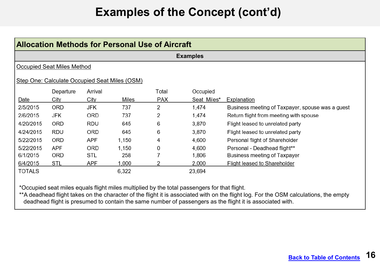|               | Allocation Methods for Personal Use of Aircraft |            |                                               |            |             |                                                  |  |  |  |  |
|---------------|-------------------------------------------------|------------|-----------------------------------------------|------------|-------------|--------------------------------------------------|--|--|--|--|
|               | <b>Examples</b>                                 |            |                                               |            |             |                                                  |  |  |  |  |
|               | <b>Occupied Seat Miles Method</b>               |            |                                               |            |             |                                                  |  |  |  |  |
|               |                                                 |            | Step One: Calculate Occupied Seat Miles (OSM) |            |             |                                                  |  |  |  |  |
|               | Departure                                       | Arrival    |                                               | Total      | Occupied    |                                                  |  |  |  |  |
| Date          | City                                            | City       | Miles                                         | <b>PAX</b> | Seat Miles* | Explanation                                      |  |  |  |  |
| 2/5/2015      | <b>ORD</b>                                      | JFK        | 737                                           | 2          | 1,474       | Business meeting of Taxpayer, spouse was a guest |  |  |  |  |
| 2/6/2015      | JFK                                             | <b>ORD</b> | 737                                           | 2          | 1,474       | Return flight from meeting with spouse           |  |  |  |  |
| 4/20/2015     | <b>ORD</b>                                      | RDU        | 645                                           | 6          | 3,870       | Flight leased to unrelated party                 |  |  |  |  |
| 4/24/2015     | RDU                                             | <b>ORD</b> | 645                                           | 6          | 3,870       | Flight leased to unrelated party                 |  |  |  |  |
| 5/22/2015     | <b>ORD</b>                                      | APF        | 1,150                                         | 4          | 4,600       | Personal flight of Shareholder                   |  |  |  |  |
| 5/22/2015     | <b>APF</b>                                      | <b>ORD</b> | 1,150                                         | 0          | 4,600       | Personal - Deadhead flight**                     |  |  |  |  |
| 6/1/2015      | ORD                                             | STL        | 258                                           |            | 1,806       | <b>Business meeting of Taxpayer</b>              |  |  |  |  |
| 6/4/2015      | <b>STL</b>                                      | <b>APF</b> | 1,000                                         |            | 2,000       | Flight leased to Shareholder                     |  |  |  |  |
| <b>TOTALS</b> |                                                 |            | 6,322                                         |            | 23,694      |                                                  |  |  |  |  |

\*Occupied seat miles equals flight miles multiplied by the total passengers for that flight.

\*\*A deadhead flight takes on the character of the flight it is associated with on the flight log. For the OSM calculations, the empty deadhead flight is presumed to contain the same number of passengers as the flight it is associated with.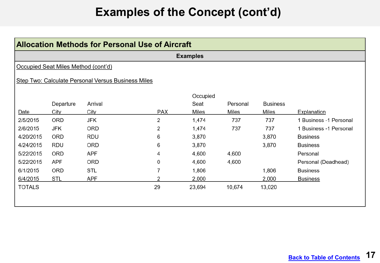|                                                    | <b>Allocation Methods for Personal Use of Aircraft</b> |            |                |          |          |                 |                        |  |  |
|----------------------------------------------------|--------------------------------------------------------|------------|----------------|----------|----------|-----------------|------------------------|--|--|
|                                                    | <b>Examples</b>                                        |            |                |          |          |                 |                        |  |  |
|                                                    | Occupied Seat Miles Method (cont'd)                    |            |                |          |          |                 |                        |  |  |
| Step Two: Calculate Personal Versus Business Miles |                                                        |            |                |          |          |                 |                        |  |  |
|                                                    |                                                        |            |                | Occupied |          |                 |                        |  |  |
|                                                    | Departure                                              | Arrival    |                | Seat     | Personal | <b>Business</b> |                        |  |  |
| Date                                               | City                                                   | City       | <b>PAX</b>     | Miles    | Miles    | Miles           | Explanation            |  |  |
| 2/5/2015                                           | ORD                                                    | JFK        | 2              | 1,474    | 737      | 737             | 1 Business -1 Personal |  |  |
| 2/6/2015                                           | JFK                                                    | ORD        | $\overline{2}$ | 1,474    | 737      | 737             | 1 Business -1 Personal |  |  |
| 4/20/2015                                          | <b>ORD</b>                                             | <b>RDU</b> | 6              | 3,870    |          | 3,870           | <b>Business</b>        |  |  |
| 4/24/2015                                          | <b>RDU</b>                                             | ORD        | 6              | 3,870    |          | 3,870           | <b>Business</b>        |  |  |
| 5/22/2015                                          | <b>ORD</b>                                             | <b>APF</b> | 4              | 4,600    | 4,600    |                 | Personal               |  |  |
| 5/22/2015                                          | <b>APF</b>                                             | ORD        | 0              | 4,600    | 4,600    |                 | Personal (Deadhead)    |  |  |
| 6/1/2015                                           | ORD                                                    | <b>STL</b> | 7              | 1,806    |          | 1,806           | <b>Business</b>        |  |  |
| 6/4/2015                                           | <b>STL</b>                                             | <b>APF</b> | 2              | 2,000    |          | 2,000           | <b>Business</b>        |  |  |
| <b>TOTALS</b>                                      |                                                        |            | 29             | 23,694   | 10,674   | 13,020          |                        |  |  |
|                                                    |                                                        |            |                |          |          |                 |                        |  |  |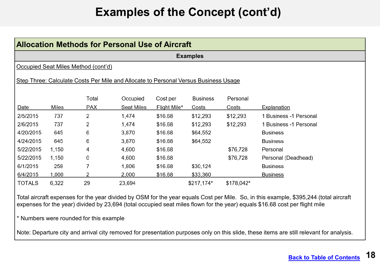|               | <b>Allocation Methods for Personal Use of Aircraft</b> |                                                                                     |            |              |                 |            |                        |  |  |  |  |
|---------------|--------------------------------------------------------|-------------------------------------------------------------------------------------|------------|--------------|-----------------|------------|------------------------|--|--|--|--|
|               | <b>Examples</b>                                        |                                                                                     |            |              |                 |            |                        |  |  |  |  |
|               |                                                        | Occupied Seat Miles Method (cont'd)                                                 |            |              |                 |            |                        |  |  |  |  |
|               |                                                        | Step Three: Calculate Costs Per Mile and Allocate to Personal Versus Business Usage |            |              |                 |            |                        |  |  |  |  |
|               |                                                        | Total                                                                               | Occupied   | Cost per     | <b>Business</b> | Personal   |                        |  |  |  |  |
| Date          | Miles                                                  | PAX                                                                                 | Seat Miles | Flight Mile* | Costs           | Costs      | Explanation            |  |  |  |  |
| 2/5/2015      | 737                                                    | 2                                                                                   | 1,474      | \$16.68      | \$12,293        | \$12,293   | 1 Business -1 Personal |  |  |  |  |
| 2/6/2015      | 737                                                    | 2                                                                                   | 1,474      | \$16.68      | \$12,293        | \$12,293   | 1 Business -1 Personal |  |  |  |  |
| 4/20/2015     | 645                                                    | 6                                                                                   | 3,870      | \$16.68      | \$64,552        |            | <b>Business</b>        |  |  |  |  |
| 4/24/2015     | 645                                                    | 6                                                                                   | 3,870      | \$16.68      | \$64,552        |            | <b>Business</b>        |  |  |  |  |
| 5/22/2015     | 1,150                                                  | 4                                                                                   | 4,600      | \$16.68      |                 | \$76,728   | Personal               |  |  |  |  |
| 5/22/2015     | 1,150                                                  | 0                                                                                   | 4,600      | \$16.68      |                 | \$76,728   | Personal (Deadhead)    |  |  |  |  |
| 6/1/2015      | 258                                                    | 7                                                                                   | 1,806      | \$16.68      | \$30,124        |            | <b>Business</b>        |  |  |  |  |
| 6/4/2015      | 1,000                                                  | 2                                                                                   | 2,000      | \$16.68      | \$33,360        |            | <b>Business</b>        |  |  |  |  |
| <b>TOTALS</b> | 6,322                                                  | 29                                                                                  | 23,694     |              | \$217,174*      | \$178,042* |                        |  |  |  |  |

Total aircraft expenses for the year divided by OSM for the year equals Cost per Mile. So, in this example, \$395,244 (total aircraft expenses for the year) divided by 23,694 (total occupied seat miles flown for the year) equals \$16.68 cost per flight mile

\* Numbers were rounded for this example

Note: Departure city and arrival city removed for presentation purposes only on this slide, these items are still relevant for analysis.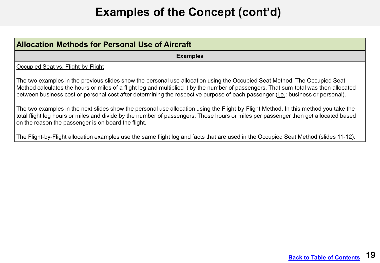| <b>Allocation Methods for Personal Use of Aircraft</b>                                                                                                                                                                                                                                                                                                                                                          |
|-----------------------------------------------------------------------------------------------------------------------------------------------------------------------------------------------------------------------------------------------------------------------------------------------------------------------------------------------------------------------------------------------------------------|
| <b>Examples</b>                                                                                                                                                                                                                                                                                                                                                                                                 |
| Occupied Seat vs. Flight-by-Flight                                                                                                                                                                                                                                                                                                                                                                              |
| The two examples in the previous slides show the personal use allocation using the Occupied Seat Method. The Occupied Seat<br>Method calculates the hours or miles of a flight leg and multiplied it by the number of passengers. That sum-total was then allocated<br>between business cost or personal cost after determining the respective purpose of each passenger ( <i>i.e.</i> : business or personal). |
| The two examples in the next slides show the personal use allocation using the Flight-by-Flight Method. In this method you take the<br>total flight leg hours or miles and divide by the number of passengers. Those hours or miles per passenger then get allocated based<br>on the reason the passenger is on board the flight.                                                                               |
| The Flight-by-Flight allocation examples use the same flight log and facts that are used in the Occupied Seat Method (slides 11-12).                                                                                                                                                                                                                                                                            |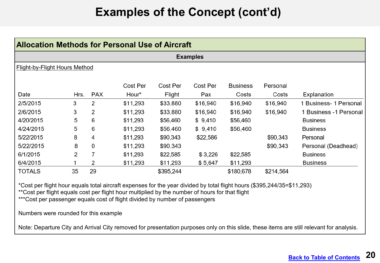|                               | Allocation Methods for Personal Use of Aircraft |            |                   |                    |                 |                          |                   |                        |  |  |
|-------------------------------|-------------------------------------------------|------------|-------------------|--------------------|-----------------|--------------------------|-------------------|------------------------|--|--|
|                               | <b>Examples</b>                                 |            |                   |                    |                 |                          |                   |                        |  |  |
| Flight-by-Flight Hours Method |                                                 |            |                   |                    |                 |                          |                   |                        |  |  |
| Date                          | Hrs.                                            | <b>PAX</b> | Cost Per<br>Hour* | Cost Per<br>Flight | Cost Per<br>Pax | <b>Business</b><br>Costs | Personal<br>Costs | Explanation            |  |  |
| 2/5/2015                      | 3                                               | 2          | \$11,293          | \$33,880           | \$16,940        | \$16,940                 | \$16,940          | 1 Business- 1 Personal |  |  |
| 2/6/2015                      | 3                                               | 2          | \$11,293          | \$33,880           | \$16,940        | \$16,940                 | \$16,940          | 1 Business -1 Personal |  |  |
| 4/20/2015                     | 5                                               | 6          | \$11,293          | \$56,460           | \$9,410         | \$56,460                 |                   | <b>Business</b>        |  |  |
| 4/24/2015                     | 5                                               | 6          | \$11,293          | \$56,460           | \$9,410         | \$56,460                 |                   | <b>Business</b>        |  |  |
| 5/22/2015                     | 8                                               | 4          | \$11,293          | \$90,343           | \$22,586        |                          | \$90,343          | Personal               |  |  |
| 5/22/2015                     | 8                                               | 0          | \$11,293          | \$90,343           |                 |                          | \$90,343          | Personal (Deadhead)    |  |  |
| 6/1/2015                      | 2                                               | 7          | \$11,293          | \$22,585           | \$3,226         | \$22,585                 |                   | <b>Business</b>        |  |  |
| 6/4/2015                      |                                                 | 2          | \$11,293          | \$11,293           | \$5,647         | \$11,293                 |                   | <b>Business</b>        |  |  |
| <b>TOTALS</b>                 | 35                                              | 29         |                   | \$395,244          |                 | \$180,678                | \$214,564         |                        |  |  |

\*Cost per flight hour equals total aircraft expenses for the year divided by total flight hours (\$395,244/35=\$11,293)

\*\*Cost per flight equals cost per flight hour multiplied by the number of hours for that flight

\*\*\*Cost per passenger equals cost of flight divided by number of passengers

Numbers were rounded for this example

Note: Departure City and Arrival City removed for presentation purposes only on this slide, these items are still relevant for analysis.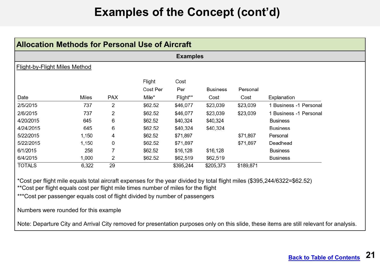| <b>Allocation Methods for Personal Use of Aircraft</b> |       |            |          |                 |                 |           |                        |  |
|--------------------------------------------------------|-------|------------|----------|-----------------|-----------------|-----------|------------------------|--|
|                                                        |       |            |          | <b>Examples</b> |                 |           |                        |  |
| <b>Flight-by-Flight Miles Method</b>                   |       |            |          |                 |                 |           |                        |  |
|                                                        |       |            | Flight   | Cost            |                 |           |                        |  |
|                                                        |       |            | Cost Per | Per             | <b>Business</b> | Personal  |                        |  |
| Date                                                   | Miles | <b>PAX</b> | Mile*    | Flight**        | Cost            | Cost      | Explanation            |  |
| 2/5/2015                                               | 737   | 2          | \$62.52  | \$46,077        | \$23,039        | \$23,039  | 1 Business -1 Personal |  |
| 2/6/2015                                               | 737   | 2          | \$62.52  | \$46,077        | \$23,039        | \$23,039  | 1 Business -1 Personal |  |
| 4/20/2015                                              | 645   | 6          | \$62.52  | \$40,324        | \$40,324        |           | <b>Business</b>        |  |
| 4/24/2015                                              | 645   | 6          | \$62.52  | \$40,324        | \$40,324        |           | <b>Business</b>        |  |
| 5/22/2015                                              | 1,150 | 4          | \$62.52  | \$71,897        |                 | \$71,897  | Personal               |  |
| 5/22/2015                                              | 1,150 | 0          | \$62.52  | \$71,897        |                 | \$71,897  | Deadhead               |  |
| 6/1/2015                                               | 258   | 7          | \$62.52  | \$16,128        | \$16,128        |           | <b>Business</b>        |  |
| 6/4/2015                                               | 1,000 | 2          | \$62.52  | \$62,519        | \$62,519        |           | <b>Business</b>        |  |
| <b>TOTALS</b>                                          | 6,322 | 29         |          | \$395,244       | \$205,373       | \$189,871 |                        |  |

\*Cost per flight mile equals total aircraft expenses for the year divided by total flight miles (\$395,244/6322=\$62.52) \*\*Cost per flight equals cost per flight mile times number of miles for the flight

\*\*\*Cost per passenger equals cost of flight divided by number of passengers

Numbers were rounded for this example

Note: Departure City and Arrival City removed for presentation purposes only on this slide, these items are still relevant for analysis.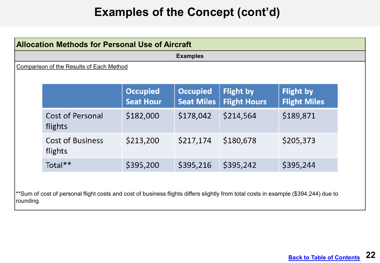|                                                 | <b>Allocation Methods for Personal Use of Aircraft</b> |                                     |                                      |                                         |                                         |  |  |
|-------------------------------------------------|--------------------------------------------------------|-------------------------------------|--------------------------------------|-----------------------------------------|-----------------------------------------|--|--|
| <b>Examples</b>                                 |                                                        |                                     |                                      |                                         |                                         |  |  |
| <b>Comparison of the Results of Each Method</b> |                                                        |                                     |                                      |                                         |                                         |  |  |
|                                                 |                                                        | <b>Occupied</b><br><b>Seat Hour</b> | <b>Occupied</b><br><b>Seat Miles</b> | <b>Flight by</b><br><b>Flight Hours</b> | <b>Flight by</b><br><b>Flight Miles</b> |  |  |
|                                                 | <b>Cost of Personal</b><br>flights                     | \$182,000                           | \$178,042                            | \$214,564                               | \$189,871                               |  |  |
|                                                 | <b>Cost of Business</b><br>flights                     | \$213,200                           | \$217,174                            | \$180,678                               | \$205,373                               |  |  |
|                                                 | Total**                                                | \$395,200                           | \$395,216                            | \$395,242                               | \$395,244                               |  |  |

rounding.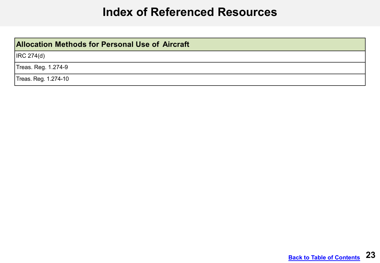#### **Index of Referenced Resources**

#### <span id="page-22-0"></span>**Allocation Methods for Personal Use of Aircraft**

IRC 274(d)

Treas. Reg. 1.274-9

Treas. Reg. 1.274-10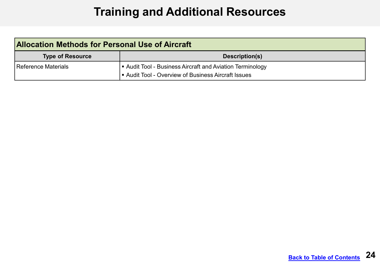## **Training and Additional Resources**

<span id="page-23-0"></span>

| <b>Allocation Methods for Personal Use of Aircraft</b> |                                                         |  |  |  |
|--------------------------------------------------------|---------------------------------------------------------|--|--|--|
| <b>Type of Resource</b>                                | Description(s)                                          |  |  |  |
| Reference Materials                                    | Audit Tool - Business Aircraft and Aviation Terminology |  |  |  |
|                                                        | Audit Tool - Overview of Business Aircraft Issues       |  |  |  |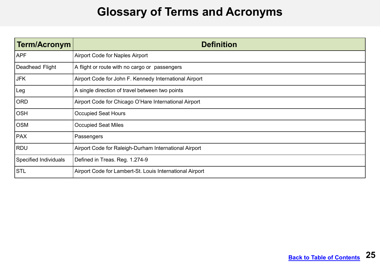#### **Glossary of Terms and Acronyms**

<span id="page-24-0"></span>

| Term/Acronym          | <b>Definition</b>                                        |
|-----------------------|----------------------------------------------------------|
| APF                   | <b>Airport Code for Naples Airport</b>                   |
| Deadhead Flight       | A flight or route with no cargo or passengers            |
| JFK                   | Airport Code for John F. Kennedy International Airport   |
| Leg                   | A single direction of travel between two points          |
| ORD                   | Airport Code for Chicago O'Hare International Airport    |
| OSH                   | <b>Occupied Seat Hours</b>                               |
| <b>OSM</b>            | <b>Occupied Seat Miles</b>                               |
| PAX                   | Passengers                                               |
| RDU                   | Airport Code for Raleigh-Durham International Airport    |
| Specified Individuals | Defined in Treas. Reg. 1.274-9                           |
| <b>STL</b>            | Airport Code for Lambert-St. Louis International Airport |